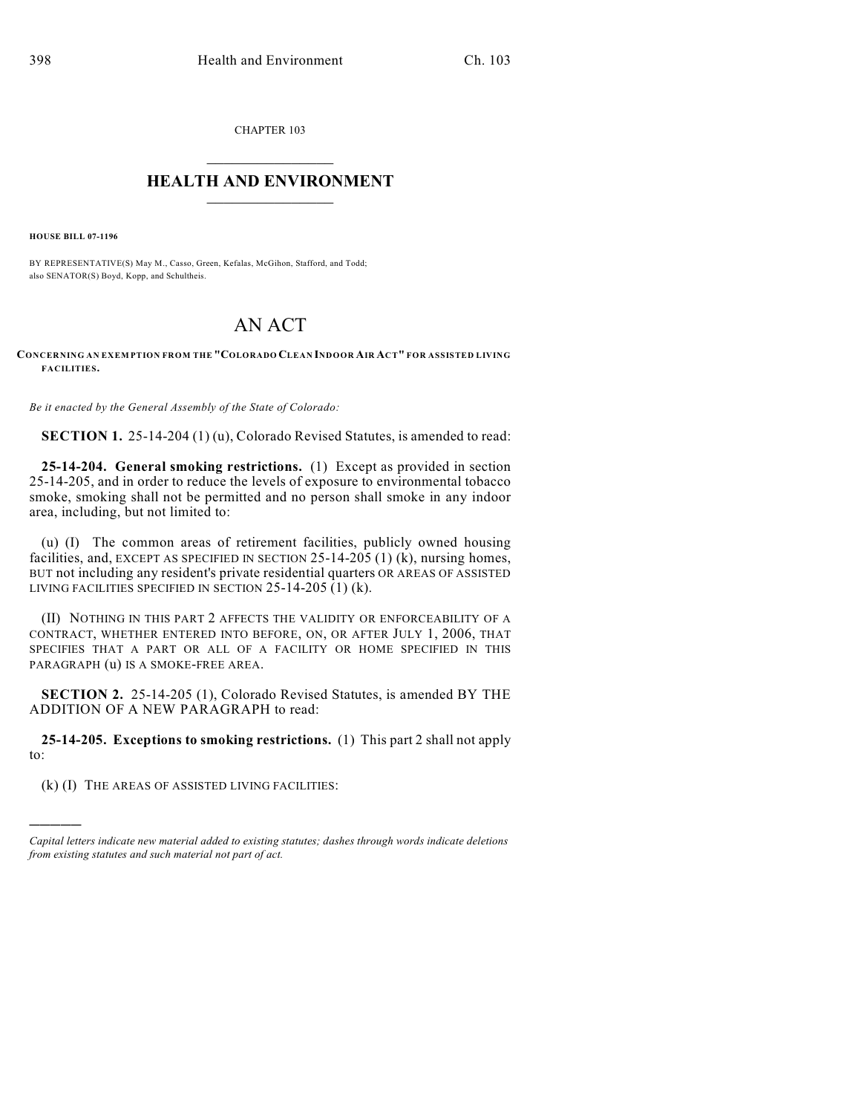CHAPTER 103

## $\mathcal{L}_\text{max}$  . The set of the set of the set of the set of the set of the set of the set of the set of the set of the set of the set of the set of the set of the set of the set of the set of the set of the set of the set **HEALTH AND ENVIRONMENT**  $\_$

**HOUSE BILL 07-1196**

)))))

BY REPRESENTATIVE(S) May M., Casso, Green, Kefalas, McGihon, Stafford, and Todd; also SENATOR(S) Boyd, Kopp, and Schultheis.

## AN ACT

## **CONCERNING AN EXEM PTION FROM THE "COLORADO CLEAN INDOOR AIR ACT" FOR ASSISTED LIVING FACILITIES.**

*Be it enacted by the General Assembly of the State of Colorado:*

**SECTION 1.** 25-14-204 (1) (u), Colorado Revised Statutes, is amended to read:

**25-14-204. General smoking restrictions.** (1) Except as provided in section 25-14-205, and in order to reduce the levels of exposure to environmental tobacco smoke, smoking shall not be permitted and no person shall smoke in any indoor area, including, but not limited to:

(u) (I) The common areas of retirement facilities, publicly owned housing facilities, and, EXCEPT AS SPECIFIED IN SECTION 25-14-205 (1) (k), nursing homes, BUT not including any resident's private residential quarters OR AREAS OF ASSISTED LIVING FACILITIES SPECIFIED IN SECTION 25-14-205 (1) (k).

(II) NOTHING IN THIS PART 2 AFFECTS THE VALIDITY OR ENFORCEABILITY OF A CONTRACT, WHETHER ENTERED INTO BEFORE, ON, OR AFTER JULY 1, 2006, THAT SPECIFIES THAT A PART OR ALL OF A FACILITY OR HOME SPECIFIED IN THIS PARAGRAPH (u) IS A SMOKE-FREE AREA.

**SECTION 2.** 25-14-205 (1), Colorado Revised Statutes, is amended BY THE ADDITION OF A NEW PARAGRAPH to read:

**25-14-205. Exceptions to smoking restrictions.** (1) This part 2 shall not apply to:

(k) (I) THE AREAS OF ASSISTED LIVING FACILITIES:

*Capital letters indicate new material added to existing statutes; dashes through words indicate deletions from existing statutes and such material not part of act.*